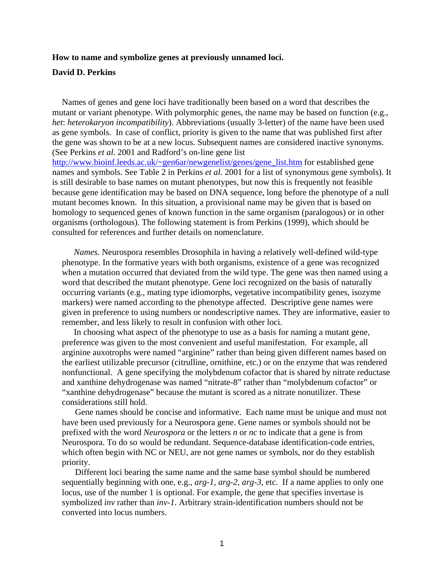## **How to name and symbolize genes at previously unnamed loci.**

## **David D. Perkins**

Names of genes and gene loci have traditionally been based on a word that describes the mutant or variant phenotype. With polymorphic genes, the name may be based on function (e.g., *het*: *heterokaryon incompatibility*). Abbreviations (usually 3-letter) of the name have been used as gene symbols. In case of conflict, priority is given to the name that was published first after the gene was shown to be at a new locus. Subsequent names are considered inactive synonyms. (See Perkins *et al.* 2001 and Radford's on-line gene list [http://www.bioinf.leeds.ac.uk/~gen6ar/newgenelist/genes/gene\\_list.htm](http://www.bioinf.leeds.ac.uk/~gen6ar/newgenelist/genes/gene_list.htm) for established gene names and symbols. See Table 2 in Perkins *et al.* 2001 for a list of synonymous gene symbols). It is still desirable to base names on mutant phenotypes, but now this is frequently not feasible because gene identification may be based on DNA sequence, long before the phenotype of a null mutant becomes known. In this situation, a provisional name may be given that is based on homology to sequenced genes of known function in the same organism (paralogous) or in other organisms (orthologous). The following statement is from Perkins (1999), which should be

consulted for references and further details on nomenclature.

 *Names.* Neurospora resembles Drosophila in having a relatively well-defined wild-type phenotype. In the formative years with both organisms, existence of a gene was recognized when a mutation occurred that deviated from the wild type. The gene was then named using a word that described the mutant phenotype. Gene loci recognized on the basis of naturally occurring variants (e.g., mating type idiomorphs, vegetative incompatibility genes, isozyme markers) were named according to the phenotype affected. Descriptive gene names were given in preference to using numbers or nondescriptive names. They are informative, easier to remember, and less likely to result in confusion with other loci.

 In choosing what aspect of the phenotype to use as a basis for naming a mutant gene, preference was given to the most convenient and useful manifestation. For example, all arginine auxotrophs were named "arginine" rather than being given different names based on the earliest utilizable precursor (citrulline, ornithine, etc.) or on the enzyme that was rendered nonfunctional. A gene specifying the molybdenum cofactor that is shared by nitrate reductase and xanthine dehydrogenase was named "nitrate-8" rather than "molybdenum cofactor" or "xanthine dehydrogenase" because the mutant is scored as a nitrate nonutilizer. These considerations still hold.

 Gene names should be concise and informative. Each name must be unique and must not have been used previously for a Neurospora gene. Gene names or symbols should not be prefixed with the word *Neurospora* or the letters *n* or *nc* to indicate that a gene is from Neurospora. To do so would be redundant. Sequence-database identification-code entries, which often begin with NC or NEU, are not gene names or symbols, nor do they establish priority.

 Different loci bearing the same name and the same base symbol should be numbered sequentially beginning with one, e.g., *arg-1, arg-2, arg-3*, etc. If a name applies to only one locus, use of the number 1 is optional. For example, the gene that specifies invertase is symbolized *inv* rather than *inv-1*. Arbitrary strain-identification numbers should not be converted into locus numbers.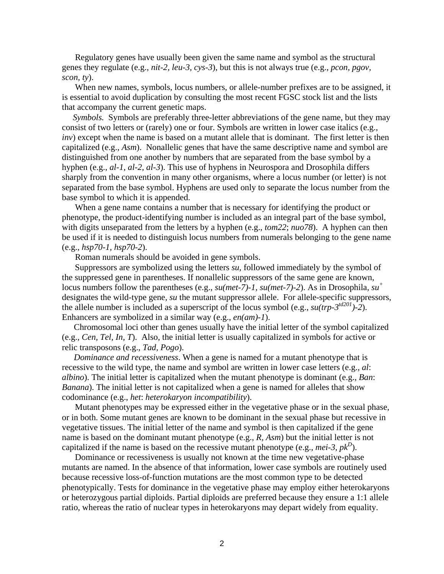Regulatory genes have usually been given the same name and symbol as the structural genes they regulate (e.g., *nit-2, leu-3, cys-3*), but this is not always true (e.g., *pcon, pgov, scon, ty*).

 When new names, symbols, locus numbers, or allele-number prefixes are to be assigned, it is essential to avoid duplication by consulting the most recent FGSC stock list and the lists that accompany the current genetic maps.

 *Symbols.* Symbols are preferably three-letter abbreviations of the gene name, but they may consist of two letters or (rarely) one or four. Symbols are written in lower case italics (e.g., *inv*) except when the name is based on a mutant allele that is dominant. The first letter is then capitalized (e.g., *Asm*). Nonallelic genes that have the same descriptive name and symbol are distinguished from one another by numbers that are separated from the base symbol by a hyphen (e.g., *al-1, al-2, al-3*). This use of hyphens in Neurospora and Drosophila differs sharply from the convention in many other organisms, where a locus number (or letter) is not separated from the base symbol. Hyphens are used only to separate the locus number from the base symbol to which it is appended.

 When a gene name contains a number that is necessary for identifying the product or phenotype, the product-identifying number is included as an integral part of the base symbol, with digits unseparated from the letters by a hyphen (e.g., *tom22*; *nuo78*). A hyphen can then be used if it is needed to distinguish locus numbers from numerals belonging to the gene name (e.g., *hsp70-1, hsp70-2*).

Roman numerals should be avoided in gene symbols.

 Suppressors are symbolized using the letters *su,* followed immediately by the symbol of the suppressed gene in parentheses. If nonallelic suppressors of the same gene are known, locus numbers follow the parentheses (e.g., *su(met-7)-1, su(met-7)-2*). As in Drosophila, *su<sup>+</sup>* designates the wild-type gene, *su* the mutant suppressor allele. For allele-specific suppressors, the allele number is included as a superscript of the locus symbol (e.g.,  $\frac{f}{f}$  $\frac{f}{f}$  $\frac{f}{f}$  $\frac{f}{f}$ ). Enhancers are symbolized in a similar way (e.g., *en(am)-1*).

 Chromosomal loci other than genes usually have the initial letter of the symbol capitalized (e.g., *Cen, Tel, In, T*). Also, the initial letter is usually capitalized in symbols for active or relic transposons (e.g., *Tad, Pogo*).

 *Dominance and recessiveness*. When a gene is named for a mutant phenotype that is recessive to the wild type, the name and symbol are written in lower case letters (e.g., *al*: *albino*). The initial letter is capitalized when the mutant phenotype is dominant (e.g., *Ban*: *Banana*). The initial letter is not capitalized when a gene is named for alleles that show codominance (e.g., *het*: *heterokaryon incompatibility*).

 Mutant phenotypes may be expressed either in the vegetative phase or in the sexual phase, or in both. Some mutant genes are known to be dominant in the sexual phase but recessive in vegetative tissues. The initial letter of the name and symbol is then capitalized if the gene name is based on the dominant mutant phenotype (e.g., *R, Asm*) but the initial letter is not capitalized if the name is based on the recessive mutant phenotype (e.g., *mei-3, pk<sup>D</sup>*).

 Dominance or recessiveness is usually not known at the time new vegetative-phase mutants are named. In the absence of that information, lower case symbols are routinely used because recessive loss-of-function mutations are the most common type to be detected phenotypically. Tests for dominance in the vegetative phase may employ either heterokaryons or heterozygous partial diploids. Partial diploids are preferred because they ensure a 1:1 allele ratio, whereas the ratio of nuclear types in heterokaryons may depart widely from equality.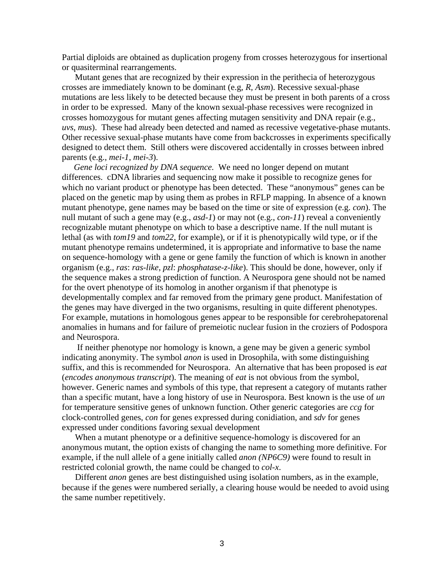Partial diploids are obtained as duplication progeny from crosses heterozygous for insertional or quasiterminal rearrangements.

 Mutant genes that are recognized by their expression in the perithecia of heterozygous crosses are immediately known to be dominant (e.g, *R, Asm*). Recessive sexual-phase mutations are less likely to be detected because they must be present in both parents of a cross in order to be expressed. Many of the known sexual-phase recessives were recognized in crosses homozygous for mutant genes affecting mutagen sensitivity and DNA repair (e.g., *uvs, mus*). These had already been detected and named as recessive vegetative-phase mutants. Other recessive sexual-phase mutants have come from backcrosses in experiments specifically designed to detect them. Still others were discovered accidentally in crosses between inbred parents (e.g., *mei-1, mei-3*).

 *Gene loci recognized by DNA sequence.* We need no longer depend on mutant differences. cDNA libraries and sequencing now make it possible to recognize genes for which no variant product or phenotype has been detected. These "anonymous" genes can be placed on the genetic map by using them as probes in RFLP mapping. In absence of a known mutant phenotype, gene names may be based on the time or site of expression (e.g. *con*). The null mutant of such a gene may (e.g., *asd-1*) or may not (e.g., *con-11*) reveal a conveniently recognizable mutant phenotype on which to base a descriptive name. If the null mutant is lethal (as with *tom19* and *tom22*, for example), or if it is phenotypically wild type, or if the mutant phenotype remains undetermined, it is appropriate and informative to base the name on sequence-homology with a gene or gene family the function of which is known in another organism (e.g., *ras*: *ras*-*like*, *pzl*: *phosphatase-z-like*). This should be done, however, only if the sequence makes a strong prediction of function. A Neurospora gene should not be named for the overt phenotype of its homolog in another organism if that phenotype is developmentally complex and far removed from the primary gene product. Manifestation of the genes may have diverged in the two organisms, resulting in quite different phenotypes. For example, mutations in homologous genes appear to be responsible for cerebrohepatorenal anomalies in humans and for failure of premeiotic nuclear fusion in the croziers of Podospora and Neurospora.

 If neither phenotype nor homology is known, a gene may be given a generic symbol indicating anonymity. The symbol *anon* is used in Drosophila, with some distinguishing suffix, and this is recommended for Neurospora. An alternative that has been proposed is *eat* (*encodes anonymous transcript*). The meaning of *eat* is not obvious from the symbol, however. Generic names and symbols of this type, that represent a category of mutants rather than a specific mutant, have a long history of use in Neurospora. Best known is the use of *un* for temperature sensitive genes of unknown function. Other generic categories are *ccg* for clock-controlled genes, *con* for genes expressed during conidiation, and *sdv* for genes expressed under conditions favoring sexual development

 When a mutant phenotype or a definitive sequence-homology is discovered for an anonymous mutant, the option exists of changing the name to something more definitive. For example, if the null allele of a gene initially called *anon (NP6C9)* were found to result in restricted colonial growth, the name could be changed to *col-x*.

 Different *anon* genes are best distinguished using isolation numbers, as in the example, because if the genes were numbered serially, a clearing house would be needed to avoid using the same number repetitively.